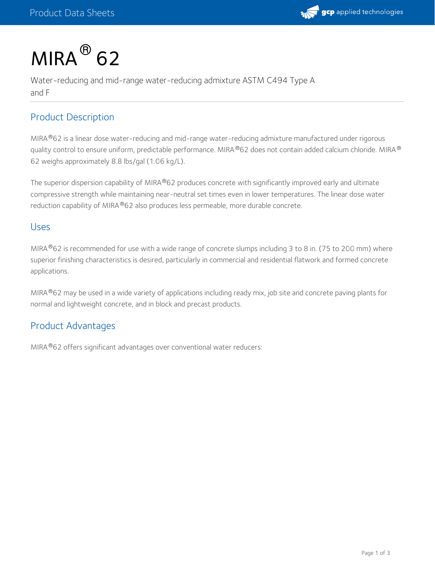

# $MIRA<sup>®</sup>$  62

Water-reducing and mid-range water-reducing admixture ASTM C494 Type A and F

# Product Description

MIRA®62 is a linear dose water-reducing and mid-range water-reducing admixture manufactured under rigorous quality control to ensure uniform, predictable performance. MIRA®62 does not contain added calcium chloride. MIRA® 62 weighs approximately 8.8 lbs/gal (1.06 kg/L).

The superior dispersion capability of MIRA®62 produces concrete with significantly improved early and ultimate compressive strength while maintaining near-neutral set times even in lower temperatures. The linear dose water reduction capability of MIRA®62 also produces less permeable, more durable concrete.

#### Uses

MIRA $^{\circledR}$ 62 is recommended for use with a wide range of concrete slumps including 3 to 8 in. (75 to 200 mm) where superior finishing characteristics is desired, particularly in commercial and residential flatwork and formed concrete applications.

MIRA®62 may be used in a wide variety of applications including ready mix, job site and concrete paving plants for normal and lightweight concrete, and in block and precast products.

# Product Advantages

MIRA®62 offers significant advantages over conventional water reducers: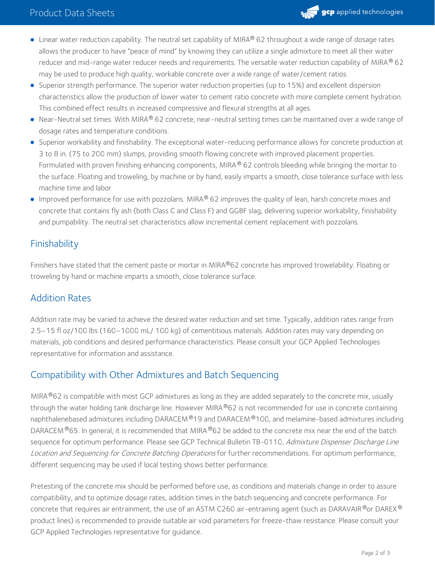

- Linear water reduction capability. The neutral set capability of MIRA® 62 throughout a wide range of dosage rates allows the producer to have "peace of mind" by knowing they can utilize a single admixture to meet all their water reducer and mid-range water reducer needs and requirements. The versatile water reduction capability of MIRA $^\circledR$  62 may be used to produce high quality, workable concrete over a wide range of water/cement ratios.
- Superior strength performance. The superior water reduction properties (up to 15%) and excellent dispersion characteristics allow the production of lower water to cement ratio concrete with more complete cement hydration. This combined effect results in increased compressive and flexural strengths at all ages.
- Near-Neutral set times. With MIRA® 62 concrete, near-neutral setting times can be maintained over a wide range of dosage rates and temperature conditions.
- Superior workability and finishability. The exceptional water-reducing performance allows for concrete production at 3 to 8 in. (75 to 200 mm) slumps, providing smooth flowing concrete with improved placement properties. Formulated with proven finishing enhancing components, MIRA® 62 controls bleeding while bringing the mortar to the surface. Floating and troweling, by machine or by hand, easily imparts a smooth, close tolerance surface with less machine time and labor
- Improved performance for use with pozzolans. MIRA $^\circledR$  62 improves the quality of lean, harsh concrete mixes and concrete that contains fly ash (both Class C and Class F) and GGBF slag, delivering superior workability, finishability and pumpability. The neutral set characteristics allow incremental cement replacement with pozzolans.

# Finishability

Finishers have stated that the cement paste or mortar in MIRA®62 concrete has improved trowelability. Floating or troweling by hand or machine imparts a smooth, close tolerance surface.

### Addition Rates

Addition rate may be varied to achieve the desired water reduction and set time. Typically, addition rates range from 2.5–15 fl oz/100 lbs (160–1000 mL/ 100 kg) of cementitious materials. Addition rates may vary depending on materials, job conditions and desired performance characteristics. Please consult your GCP Applied Technologies representative for information and assistance.

### Compatibility with Other Admixtures and Batch Sequencing

MIRA $^{\circledR}$ 62 is compatible with most GCP admixtures as long as they are added separately to the concrete mix, usually through the water holding tank discharge line. However MIRA®62 is not recommended for use in concrete containing naphthalenebased admixtures including DARACEM ®19 and DARACEM ®100, and melamine-based admixtures including DARACEM  $^\circ$ 65. In general, it is recommended that MIRA  $^\circ$ 62 be added to the concrete mix near the end of the batch sequence for optimum performance. Please see GCP Technical Bulletin TB-0110, Admixture Dispenser Discharge Line Location and Sequencing for Concrete Batching Operations for further recommendations. For optimum performance, different sequencing may be used if local testing shows better performance.

Pretesting of the concrete mix should be performed before use, as conditions and materials change in order to assure compatibility, and to optimize dosage rates, addition times in the batch sequencing and concrete performance. For concrete that requires air entrainment, the use of an ASTM C260 air-entraining agent (such as DARAVAIR $^\circ$ or DAREX $^\circ$ product lines) is recommended to provide suitable air void parameters for freeze-thaw resistance. Please consult your GCP Applied Technologies representative for guidance.